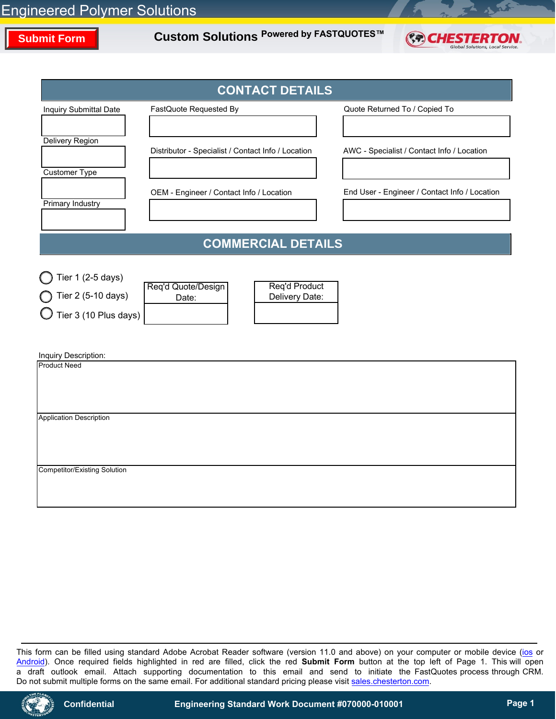# **Submit Form**

**Custom Solutions Powered by FASTQUOTES™**



|                                                                  | <b>CONTACT DETAILS</b>                                         |                                               |  |  |
|------------------------------------------------------------------|----------------------------------------------------------------|-----------------------------------------------|--|--|
| Inquiry Submittal Date                                           | FastQuote Requested By                                         | Quote Returned To / Copied To                 |  |  |
|                                                                  |                                                                |                                               |  |  |
| <b>Delivery Region</b>                                           | Distributor - Specialist / Contact Info / Location             | AWC - Specialist / Contact Info / Location    |  |  |
| Customer Type                                                    |                                                                |                                               |  |  |
|                                                                  | OEM - Engineer / Contact Info / Location                       | End User - Engineer / Contact Info / Location |  |  |
| Primary Industry                                                 |                                                                |                                               |  |  |
|                                                                  | <b>COMMERCIAL DETAILS</b>                                      |                                               |  |  |
|                                                                  |                                                                |                                               |  |  |
| Tier 1 (2-5 days)<br>Tier 2 (5-10 days)<br>Tier 3 (10 Plus days) | Req'd Product<br>Req'd Quote/Design<br>Delivery Date:<br>Date: |                                               |  |  |
| Inquiry Description:<br><b>Product Need</b>                      |                                                                |                                               |  |  |
|                                                                  |                                                                |                                               |  |  |
| <b>Application Description</b>                                   |                                                                |                                               |  |  |
|                                                                  |                                                                |                                               |  |  |
| <b>Competitor/Existing Solution</b>                              |                                                                |                                               |  |  |
|                                                                  |                                                                |                                               |  |  |

This form can be filled using standard Adobe Acrobat Reader software (version 11.0 and above) on your computer or mobile device [\(ios](https://itunes.apple.com/us/app/adobe-acrobat-reader/id469337564?mt=8) or [Android\)](https://play.google.com/store/apps/details?id=com.adobe.reader&hl=en). Once required fields highlighted in red are filled, click the red **Submit Form** button at the top left of Page 1. This will open a draft outlook email. Attach supporting documentation to this email and send to initiate the FastQuotes process through CRM. Do not submit multiple forms on the same email. For additional standard pricing please visit [sales.chesterton.com.](https://sales.chesterton.com/Account/Login?ReturnUrl=%2F)

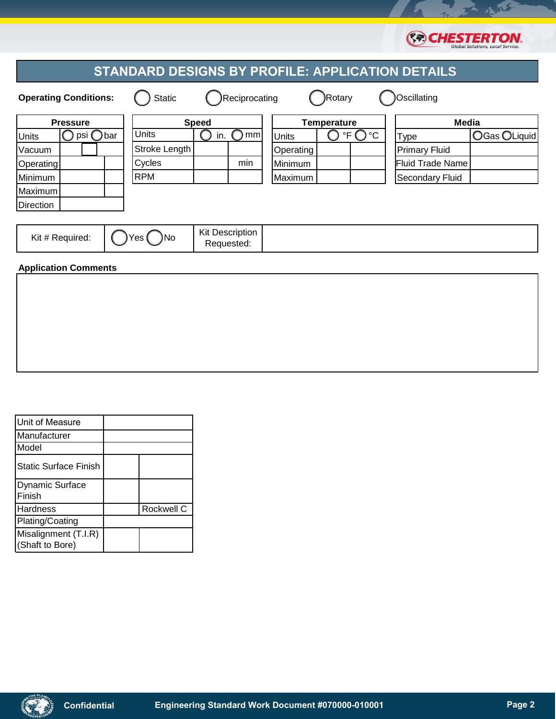|                                                         |  |               |            |                        |                    |        |                                        |                         | Gibbai solutions, Lotal servite. |
|---------------------------------------------------------|--|---------------|------------|------------------------|--------------------|--------|----------------------------------------|-------------------------|----------------------------------|
| <b>STANDARD DESIGNS BY PROFILE: APPLICATION DETAILS</b> |  |               |            |                        |                    |        |                                        |                         |                                  |
| <b>Operating Conditions:</b>                            |  | <b>Static</b> |            | Reciprocating          |                    | Rotary |                                        | Oscillating             |                                  |
| <b>Pressure</b>                                         |  | <b>Speed</b>  |            |                        | <b>Temperature</b> |        |                                        | <b>Media</b>            |                                  |
| psi ◯bar<br><b>Units</b>                                |  | <b>Units</b>  | in.        | mml                    | <b>Units</b>       |        | $\mathsf{P}\mathsf{F}\bigcirc$<br>) °C | <b>Type</b>             | OGas OLiquid                     |
| Vacuum                                                  |  | Stroke Length |            |                        | Operating          |        |                                        | <b>Primary Fluid</b>    |                                  |
| <b>Operating</b>                                        |  | Cycles        |            | min                    | Minimum            |        |                                        | <b>Fluid Trade Name</b> |                                  |
| Minimum                                                 |  | <b>RPM</b>    |            |                        | Maximum            |        |                                        | <b>Secondary Fluid</b>  |                                  |
| Maximum                                                 |  |               |            |                        |                    |        |                                        |                         |                                  |
| <b>Direction</b>                                        |  |               |            |                        |                    |        |                                        |                         |                                  |
|                                                         |  |               |            |                        |                    |        |                                        |                         |                                  |
| Kit # Required:                                         |  |               |            | <b>Kit Description</b> |                    |        |                                        |                         |                                  |
|                                                         |  | No            | Requested: |                        |                    |        |                                        |                         |                                  |
| <b>Application Comments</b>                             |  |               |            |                        |                    |        |                                        |                         |                                  |
|                                                         |  |               |            |                        |                    |        |                                        |                         |                                  |

| Unit of Measure                         |            |
|-----------------------------------------|------------|
| Manufacturer                            |            |
| Model                                   |            |
| <b>Static Surface Finish</b>            |            |
| <b>Dynamic Surface</b><br>Finish        |            |
| <b>Hardness</b>                         | Rockwell C |
| Plating/Coating                         |            |
| Misalignment (T.I.R)<br>(Shaft to Bore) |            |

RF

**COCHESTERTON.**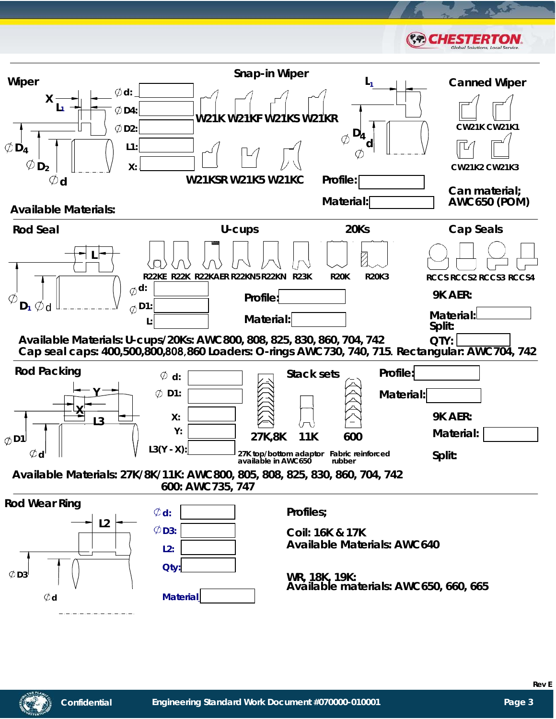

**Rev E**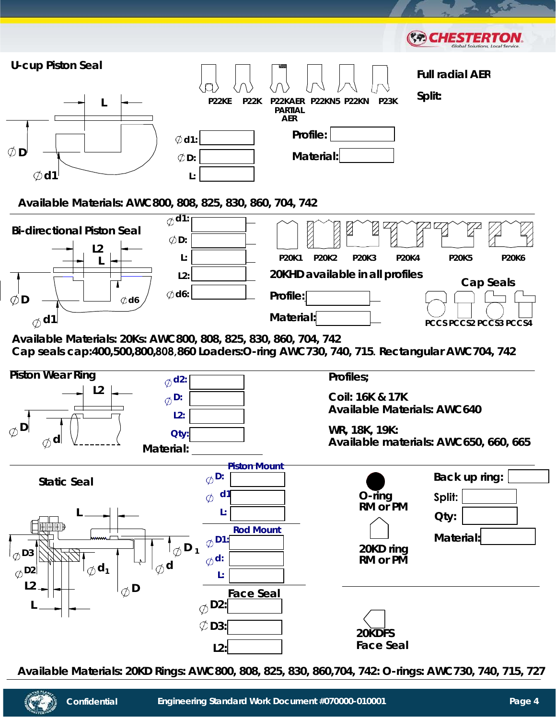

**Available Materials: 20KD Rings: AWC800, 808, 825, 830, 860,704, 742: O-rings: AWC730, 740, 715, 727**

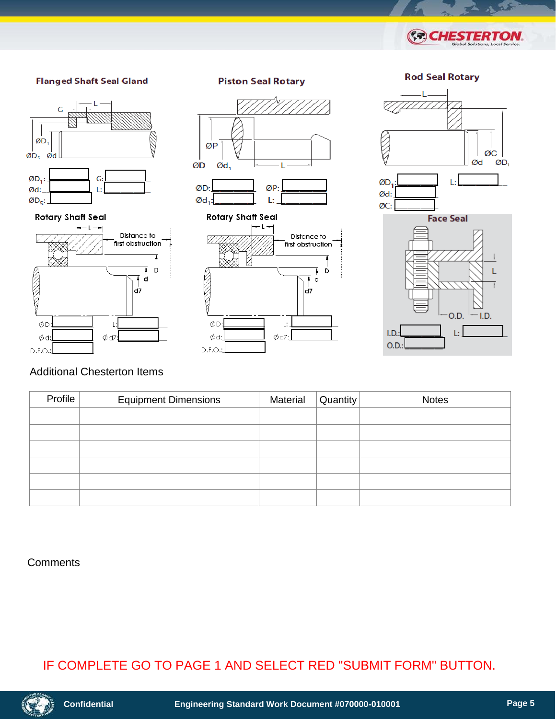







## Distance to first obstruction D d a7 ØD  $\mathbf{I}$  $\phi$ d:  $\phi$ d7  $D.F.O.$







#### **Rotary Shaft Seal**









## Additional Chesterton Items

| Profile | <b>Equipment Dimensions</b> | Material | Quantity | <b>Notes</b> |
|---------|-----------------------------|----------|----------|--------------|
|         |                             |          |          |              |
|         |                             |          |          |              |
|         |                             |          |          |              |
|         |                             |          |          |              |
|         |                             |          |          |              |
|         |                             |          |          |              |

#### **Comments**

## IF COMPLETE GO TO PAGE 1 AND SELECT RED "SUBMIT FORM" BUTTON.